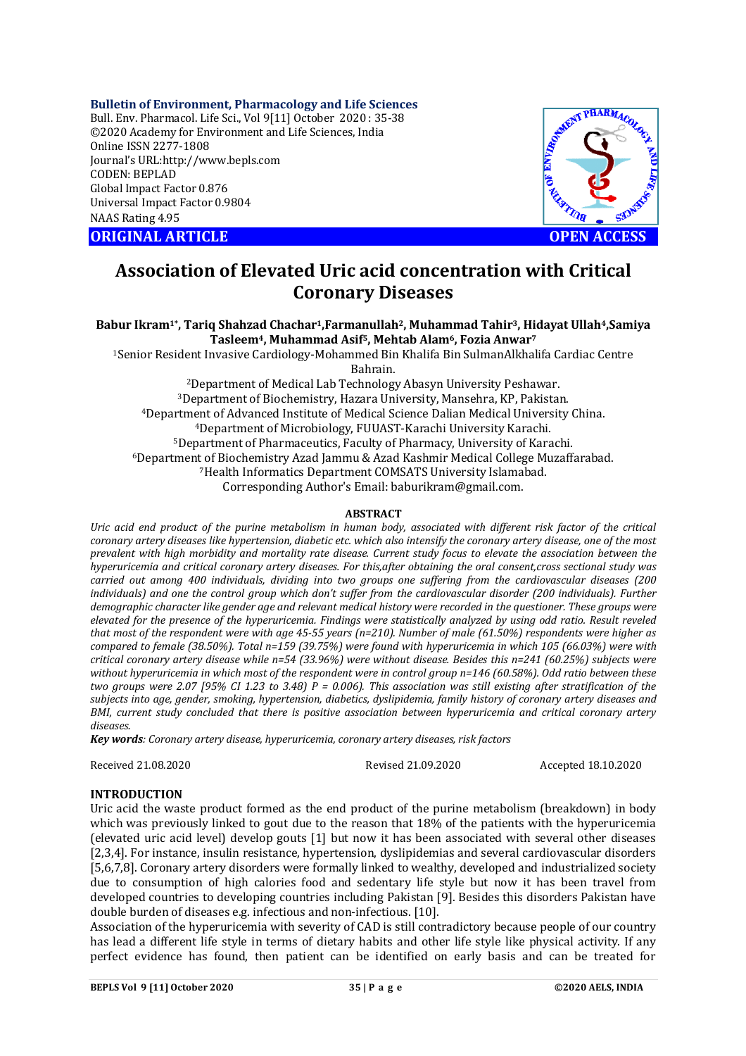#### **Bulletin of Environment, Pharmacology and Life Sciences**

Bull. Env. Pharmacol. Life Sci., Vol 9[11] October 2020 : 35-38 ©2020 Academy for Environment and Life Sciences, India Online ISSN 2277-1808 Journal's URL:<http://www.bepls.com> CODEN: BEPLAD Global Impact Factor 0.876 Universal Impact Factor 0.9804 NAAS Rating 4.95

**ORIGINAL ARTICLE OPEN ACCESS**



# **Association of Elevated Uric acid concentration with Critical Coronary Diseases**

#### **Babur Ikram1\* , Tariq Shahzad Chachar1,Farmanullah2, Muhammad Tahir3, Hidayat Ullah4,Samiya Tasleem4, Muhammad Asif5, Mehtab Alam6, Fozia Anwar<sup>7</sup>**

<sup>1</sup>Senior Resident Invasive Cardiology-Mohammed Bin Khalifa Bin SulmanAlkhalifa Cardiac Centre Bahrain.

Department of Medical Lab Technology Abasyn University Peshawar. Department of Biochemistry, Hazara University, Mansehra, KP, Pakistan. Department of Advanced Institute of Medical Science Dalian Medical University China. Department of Microbiology, FUUAST-Karachi University Karachi. Department of Pharmaceutics, Faculty of Pharmacy, University of Karachi. Department of Biochemistry Azad Jammu & Azad Kashmir Medical College Muzaffarabad. Health Informatics Department COMSATS University Islamabad. Corresponding Author's Email: [baburikram@gmail.com.](mailto:baburikram@gmail.com.)

#### **ABSTRACT**

*Uric acid end product of the purine metabolism in human body, associated with different risk factor of the critical coronary artery diseases like hypertension, diabetic etc. which also intensify the coronary artery disease, one of the most prevalent with high morbidity and mortality rate disease. Current study focus to elevate the association between the hyperuricemia and critical coronary artery diseases. For this,after obtaining the oral consent,cross sectional study was carried out among 400 individuals, dividing into two groups one suffering from the cardiovascular diseases (200 individuals) and one the control group which don't suffer from the cardiovascular disorder (200 individuals). Further demographic character like gender age and relevant medical history were recorded in the questioner. These groups were elevated for the presence of the hyperuricemia. Findings were statistically analyzed by using odd ratio. Result reveled that most of the respondent were with age 45-55 years (n=210). Number of male (61.50%) respondents were higher as compared to female (38.50%). Total n=159 (39.75%) were found with hyperuricemia in which 105 (66.03%) were with critical coronary artery disease while n=54 (33.96%) were without disease. Besides this n=241 (60.25%) subjects were without hyperuricemia in which most of the respondent were in control group n=146 (60.58%). Odd ratio between these two groups were 2.07 [95% CI 1.23 to 3.48) P = 0.006). This association was still existing after stratification of the subjects into age, gender, smoking, hypertension, diabetics, dyslipidemia, family history of coronary artery diseases and BMI, current study concluded that there is positive association between hyperuricemia and critical coronary artery diseases.* 

*Key words: Coronary artery disease, hyperuricemia, coronary artery diseases, risk factors* 

Received 21.08.2020 Revised 21.09.2020 Accepted 18.10.2020

# **INTRODUCTION**

Uric acid the waste product formed as the end product of the purine metabolism (breakdown) in body which was previously linked to gout due to the reason that 18% of the patients with the hyperuricemia (elevated uric acid level) develop gouts [1] but now it has been associated with several other diseases [2,3,4]. For instance, insulin resistance, hypertension, dyslipidemias and several cardiovascular disorders [5,6,7,8]. Coronary artery disorders were formally linked to wealthy, developed and industrialized society due to consumption of high calories food and sedentary life style but now it has been travel from developed countries to developing countries including Pakistan [9]. Besides this disorders Pakistan have double burden of diseases e.g. infectious and non-infectious. [10].

Association of the hyperuricemia with severity of CAD is still contradictory because people of our country has lead a different life style in terms of dietary habits and other life style like physical activity. If any perfect evidence has found, then patient can be identified on early basis and can be treated for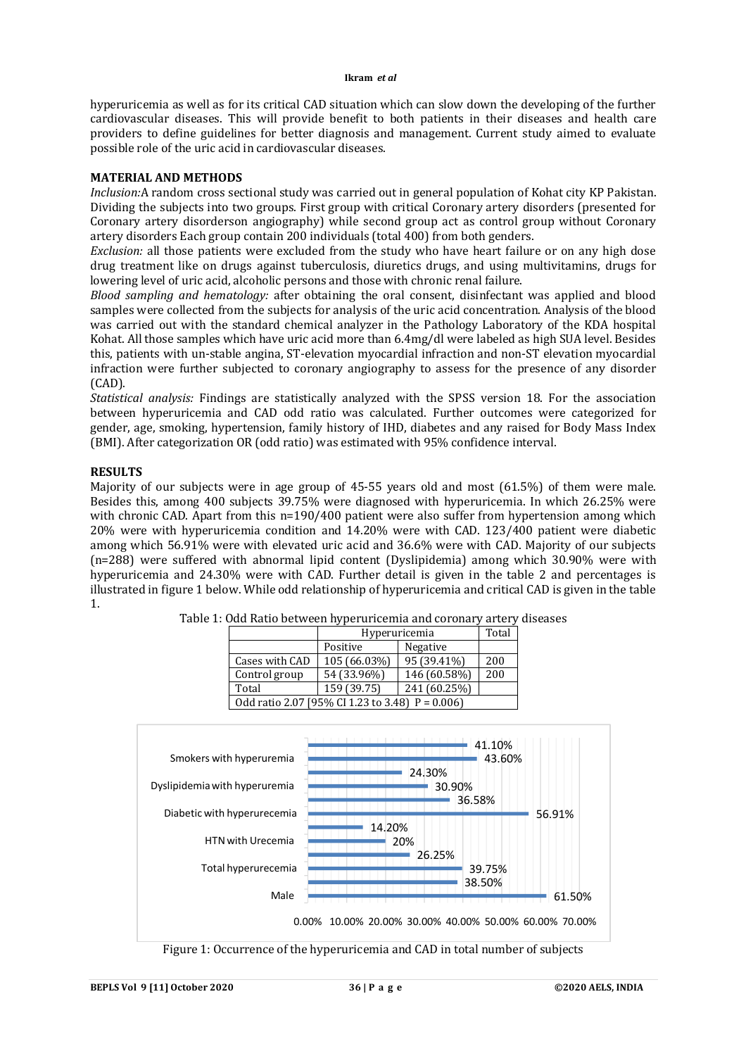#### **Ikram** *et al*

hyperuricemia as well as for its critical CAD situation which can slow down the developing of the further cardiovascular diseases. This will provide benefit to both patients in their diseases and health care providers to define guidelines for better diagnosis and management. Current study aimed to evaluate possible role of the uric acid in cardiovascular diseases.

#### **MATERIAL AND METHODS**

*Inclusion:*A random cross sectional study was carried out in general population of Kohat city KP Pakistan. Dividing the subjects into two groups. First group with critical Coronary artery disorders (presented for Coronary artery disorderson angiography) while second group act as control group without Coronary artery disorders Each group contain 200 individuals (total 400) from both genders.

*Exclusion:* all those patients were excluded from the study who have heart failure or on any high dose drug treatment like on drugs against tuberculosis, diuretics drugs, and using multivitamins, drugs for lowering level of uric acid, alcoholic persons and those with chronic renal failure.

*Blood sampling and hematology:* after obtaining the oral consent, disinfectant was applied and blood samples were collected from the subjects for analysis of the uric acid concentration. Analysis of the blood was carried out with the standard chemical analyzer in the Pathology Laboratory of the KDA hospital Kohat. All those samples which have uric acid more than 6.4mg/dl were labeled as high SUA level. Besides this, patients with un-stable angina, ST-elevation myocardial infraction and non-ST elevation myocardial infraction were further subjected to coronary angiography to assess for the presence of any disorder (CAD).

*Statistical analysis:* Findings are statistically analyzed with the SPSS version 18. For the association between hyperuricemia and CAD odd ratio was calculated. Further outcomes were categorized for gender, age, smoking, hypertension, family history of IHD, diabetes and any raised for Body Mass Index (BMI). After categorization OR (odd ratio) was estimated with 95% confidence interval.

# **RESULTS**

Majority of our subjects were in age group of 45-55 years old and most (61.5%) of them were male. Besides this, among 400 subjects 39.75% were diagnosed with hyperuricemia. In which 26.25% were with chronic CAD. Apart from this n=190/400 patient were also suffer from hypertension among which 20% were with hyperuricemia condition and 14.20% were with CAD. 123/400 patient were diabetic among which 56.91% were with elevated uric acid and 36.6% were with CAD. Majority of our subjects (n=288) were suffered with abnormal lipid content (Dyslipidemia) among which 30.90% were with hyperuricemia and 24.30% were with CAD. Further detail is given in the table 2 and percentages is illustrated in figure 1 below. While odd relationship of hyperuricemia and critical CAD is given in the table 1.

|                                                    | Hyperuricemia | Total        |     |  |  |  |
|----------------------------------------------------|---------------|--------------|-----|--|--|--|
|                                                    | Positive      | Negative     |     |  |  |  |
| Cases with CAD                                     | 105 (66.03%)  | 95 (39.41%)  | 200 |  |  |  |
| Control group                                      | 54 (33.96%)   | 146 (60.58%) | 200 |  |  |  |
| Total                                              | 159 (39.75)   | 241 (60.25%) |     |  |  |  |
| Odd ratio 2.07 [95% CI 1.23 to 3.48] $P = 0.006$ ] |               |              |     |  |  |  |

|  | Table 1: Odd Ratio between hyperuricemia and coronary artery diseases |                  |  |
|--|-----------------------------------------------------------------------|------------------|--|
|  | II-magnusianusia                                                      | $T_{\text{odd}}$ |  |



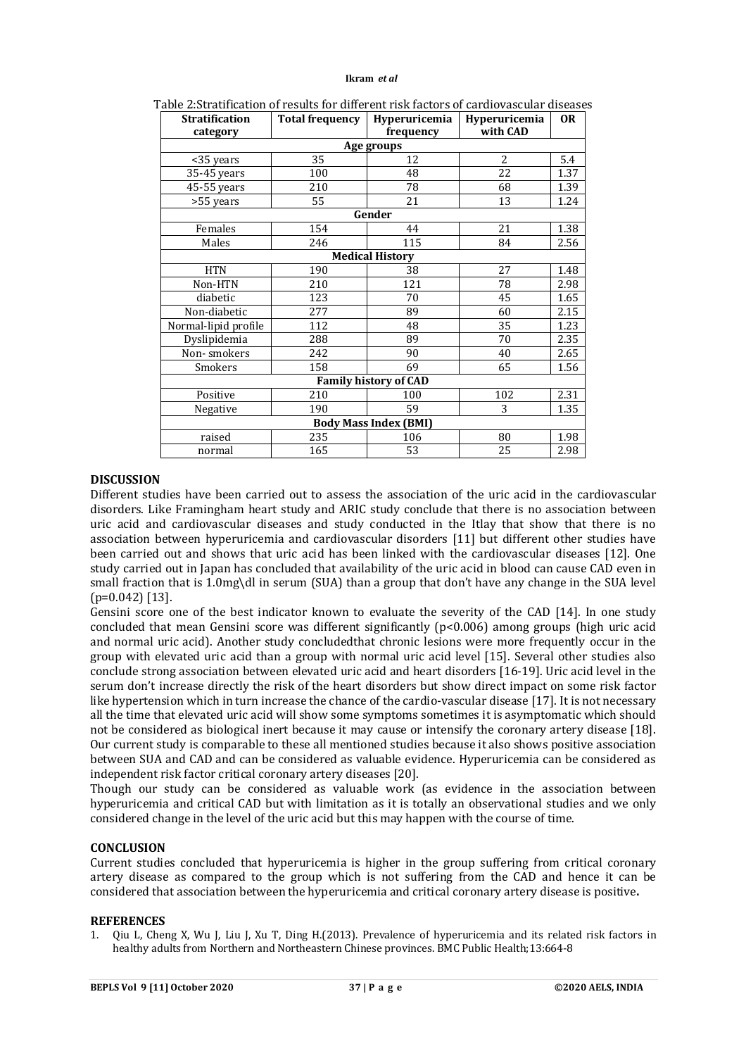#### **Ikram** *et al*

| abic 2.5d atmcauon of results for unicrent risk factors of carufovascular uiscasc<br><b>Stratification</b> | <b>Total frequency</b> | Hyperuricemia          | Hyperuricemia  | <b>OR</b> |  |  |  |  |  |
|------------------------------------------------------------------------------------------------------------|------------------------|------------------------|----------------|-----------|--|--|--|--|--|
| category                                                                                                   |                        | frequency              | with CAD       |           |  |  |  |  |  |
| Age groups                                                                                                 |                        |                        |                |           |  |  |  |  |  |
| <35 years                                                                                                  | 35                     | 12                     | $\overline{2}$ | 5.4       |  |  |  |  |  |
| 35-45 years                                                                                                | 100                    | 48                     | 22             | 1.37      |  |  |  |  |  |
| 45-55 years                                                                                                | 210                    | 78                     | 68             | 1.39      |  |  |  |  |  |
| >55 years                                                                                                  | 55                     | 21                     | 13             | 1.24      |  |  |  |  |  |
|                                                                                                            |                        | Gender                 |                |           |  |  |  |  |  |
| Females                                                                                                    | 154                    | 44                     | 21             | 1.38      |  |  |  |  |  |
| Males                                                                                                      | 246                    | 115                    | 84             | 2.56      |  |  |  |  |  |
|                                                                                                            |                        | <b>Medical History</b> |                |           |  |  |  |  |  |
| <b>HTN</b>                                                                                                 | 190                    | 38                     | 27             | 1.48      |  |  |  |  |  |
| Non-HTN                                                                                                    | 210                    | 121                    | 78             | 2.98      |  |  |  |  |  |
| diabetic                                                                                                   | 123                    | 70                     | 45             | 1.65      |  |  |  |  |  |
| Non-diabetic                                                                                               | 277                    | 89                     | 60             | 2.15      |  |  |  |  |  |
| Normal-lipid profile                                                                                       | 112                    | 48                     | 35             | 1.23      |  |  |  |  |  |
| Dyslipidemia                                                                                               | 288                    | 89                     | 70             | 2.35      |  |  |  |  |  |
| Non-smokers                                                                                                | 242                    | 90                     | 40             | 2.65      |  |  |  |  |  |
| Smokers                                                                                                    | 158                    | 69                     | 65             | 1.56      |  |  |  |  |  |
| <b>Family history of CAD</b>                                                                               |                        |                        |                |           |  |  |  |  |  |
| Positive                                                                                                   | 210                    | 100                    | 102            | 2.31      |  |  |  |  |  |
| Negative                                                                                                   | 190                    | 59                     | 3              | 1.35      |  |  |  |  |  |
| <b>Body Mass Index (BMI)</b>                                                                               |                        |                        |                |           |  |  |  |  |  |
| raised                                                                                                     | 235                    | 106                    | 80             | 1.98      |  |  |  |  |  |
| normal                                                                                                     | 165                    | 53                     | 25             | 2.98      |  |  |  |  |  |

Table 2:Stratification of results for different risk factors of cardiovascular diseases

# **DISCUSSION**

Different studies have been carried out to assess the association of the uric acid in the cardiovascular disorders. Like Framingham heart study and ARIC study conclude that there is no association between uric acid and cardiovascular diseases and study conducted in the Itlay that show that there is no association between hyperuricemia and cardiovascular disorders [11] but different other studies have been carried out and shows that uric acid has been linked with the cardiovascular diseases [12]. One study carried out in Japan has concluded that availability of the uric acid in blood can cause CAD even in small fraction that is 1.0mg\dl in serum (SUA) than a group that don't have any change in the SUA level (p=0.042) [13].

Gensini score one of the best indicator known to evaluate the severity of the CAD [14]. In one study concluded that mean Gensini score was different significantly (p<0.006) among groups (high uric acid and normal uric acid). Another study concludedthat chronic lesions were more frequently occur in the group with elevated uric acid than a group with normal uric acid level [15]. Several other studies also conclude strong association between elevated uric acid and heart disorders [16-19]. Uric acid level in the serum don't increase directly the risk of the heart disorders but show direct impact on some risk factor like hypertension which in turn increase the chance of the cardio-vascular disease [17]. It is not necessary all the time that elevated uric acid will show some symptoms sometimes it is asymptomatic which should not be considered as biological inert because it may cause or intensify the coronary artery disease [18]. Our current study is comparable to these all mentioned studies because it also shows positive association between SUA and CAD and can be considered as valuable evidence. Hyperuricemia can be considered as independent risk factor critical coronary artery diseases [20].

Though our study can be considered as valuable work (as evidence in the association between hyperuricemia and critical CAD but with limitation as it is totally an observational studies and we only considered change in the level of the uric acid but this may happen with the course of time.

# **CONCLUSION**

Current studies concluded that hyperuricemia is higher in the group suffering from critical coronary artery disease as compared to the group which is not suffering from the CAD and hence it can be considered that association between the hyperuricemia and critical coronary artery disease is positive**.** 

#### **REFERENCES**

1. Qiu L, Cheng X, Wu J, Liu J, Xu T, Ding H.(2013). Prevalence of hyperuricemia and its related risk factors in healthy adults from Northern and Northeastern Chinese provinces. BMC Public Health;13:664-8